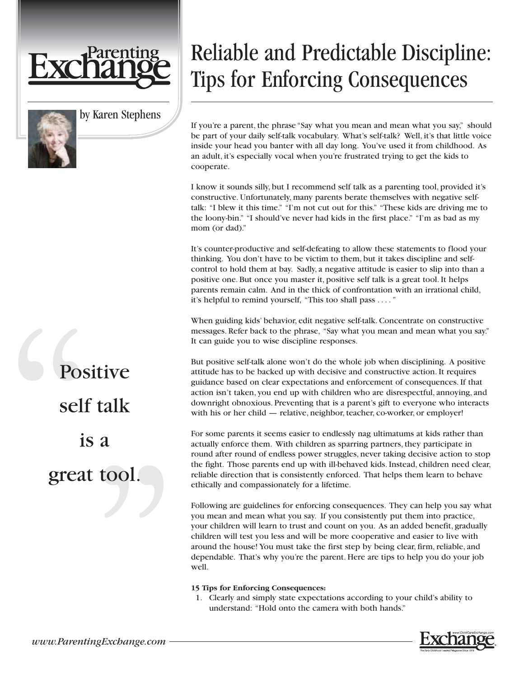

by Karen Stephens

## Reliable and Predictable Discipline: Tips for Enforcing Consequences

If you're a parent, the phrase "Say what you mean and mean what you say," should be part of your daily self-talk vocabulary. What's self-talk? Well, it's that little voice inside your head you banter with all day long. You've used it from childhood. As an adult, it's especially vocal when you're frustrated trying to get the kids to cooperate.

I know it sounds silly, but I recommend self talk as a parenting tool, provided it's constructive. Unfortunately, many parents berate themselves with negative selftalk: "I blew it this time." "I'm not cut out for this." "These kids are driving me to the loony-bin." "I should've never had kids in the first place." "I'm as bad as my mom (or dad)."

It's counter-productive and self-defeating to allow these statements to flood your thinking. You don't have to be victim to them, but it takes discipline and selfcontrol to hold them at bay. Sadly, a negative attitude is easier to slip into than a positive one. But once you master it, positive self talk is a great tool. It helps parents remain calm. And in the thick of confrontation with an irrational child, it's helpful to remind yourself, "This too shall pass . ..."

When guiding kids' behavior, edit negative self-talk. Concentrate on constructive messages. Refer back to the phrase, "Say what you mean and mean what you say." It can guide you to wise discipline responses.

But positive self-talk alone won't do the whole job when disciplining. A positive attitude has to be backed up with decisive and constructive action. It requires guidance based on clear expectations and enforcement of consequences. If that action isn't taken, you end up with children who are disrespectful, annoying, and downright obnoxious. Preventing that is a parent's gift to everyone who interacts with his or her child — relative, neighbor, teacher, co-worker, or employer!

For some parents it seems easier to endlessly nag ultimatums at kids rather than actually enforce them. With children as sparring partners, they participate in round after round of endless power struggles, never taking decisive action to stop the fight. Those parents end up with ill-behaved kids. Instead, children need clear, reliable direction that is consistently enforced. That helps them learn to behave ethically and compassionately for a lifetime.

Following are guidelines for enforcing consequences. They can help you say what you mean and mean what you say. If you consistently put them into practice, your children will learn to trust and count on you. As an added benefit, gradually children will test you less and will be more cooperative and easier to live with around the house! You must take the first step by being clear, firm, reliable, and dependable. That's why you're the parent. Here are tips to help you do your job well.

## **15 Tips for Enforcing Consequences:**

1. Clearly and simply state expectations according to your child's ability to understand: "Hold onto the camera with both hands."



Positive self talk is a great tool.